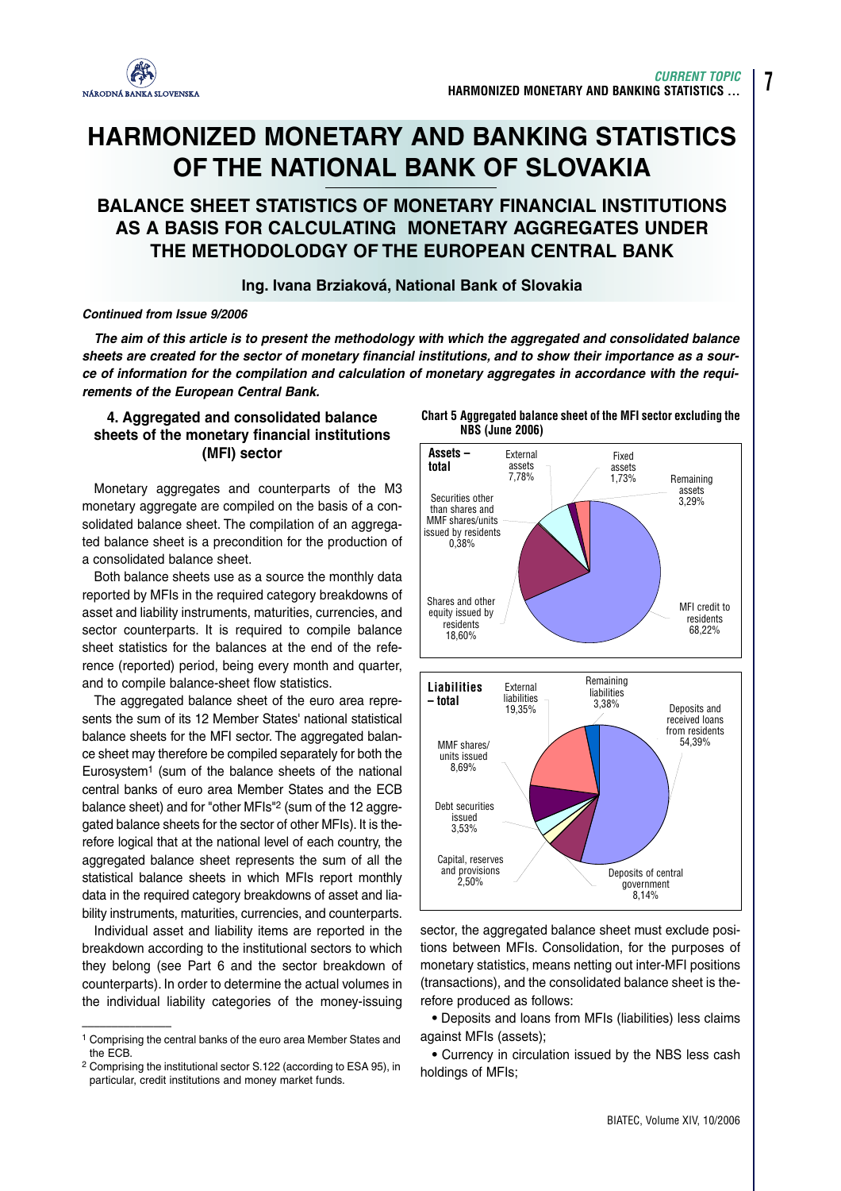

# **HARMONIZED MONETARY AND BANKING STATISTICS OF THE NATIONAL BANK OF SLOVAKIA**

# **BALANCE SHEET STATISTICS OF MONETARY FINANCIAL INSTITUTIONS AS A BASIS FOR CALCULATING MONETARY AGGREGATES UNDER THE METHODOLODGY OF THE EUROPEAN CENTRAL BANK**

# **Ing. Ivana Brziaková, National Bank of Slovakia**

### *Continued from Issue 9/2006*

*The aim of this article is to present the methodology with which the aggregated and consolidated balance sheets are created for the sector of monetary financial institutions, and to show their importance as a source of information for the compilation and calculation of monetary aggregates in accordance with the requirements of the European Central Bank.*

# **4. Aggregated and consolidated balance sheets of the monetary financial institutions (MFI) sector**

Monetary aggregates and counterparts of the M3 monetary aggregate are compiled on the basis of a consolidated balance sheet. The compilation of an aggregated balance sheet is a precondition for the production of a consolidated balance sheet.

Both balance sheets use as a source the monthly data reported by MFIs in the required category breakdowns of asset and liability instruments, maturities, currencies, and sector counterparts. It is required to compile balance sheet statistics for the balances at the end of the reference (reported) period, being every month and quarter, and to compile balance-sheet flow statistics.

The aggregated balance sheet of the euro area represents the sum of its 12 Member States' national statistical balance sheets for the MFI sector. The aggregated balance sheet may therefore be compiled separately for both the Eurosystem1 (sum of the balance sheets of the national central banks of euro area Member States and the ECB balance sheet) and for "other MFIs"<sup>2</sup> (sum of the 12 aggregated balance sheets for the sector of other MFIs). It is therefore logical that at the national level of each country, the aggregated balance sheet represents the sum of all the statistical balance sheets in which MFIs report monthly data in the required category breakdowns of asset and liability instruments, maturities, currencies, and counterparts.

Individual asset and liability items are reported in the breakdown according to the institutional sectors to which they belong (see Part 6 and the sector breakdown of counterparts). In order to determine the actual volumes in the individual liability categories of the money-issuing

**Chart 5 Aggregated balance sheet of the MFI sector excluding the NBS (June 2006)**



sector, the aggregated balance sheet must exclude positions between MFIs. Consolidation, for the purposes of monetary statistics, means netting out inter-MFI positions (transactions), and the consolidated balance sheet is therefore produced as follows:

**•** Deposits and loans from MFIs (liabilities) less claims against MFIs (assets);

**•** Currency in circulation issued by the NBS less cash holdings of MFIs;

**7**

<sup>–––––––––––––––</sup> <sup>1</sup> Comprising the central banks of the euro area Member States and the ECB.

<sup>2</sup> Comprising the institutional sector S.122 (according to ESA 95), in particular, credit institutions and money market funds.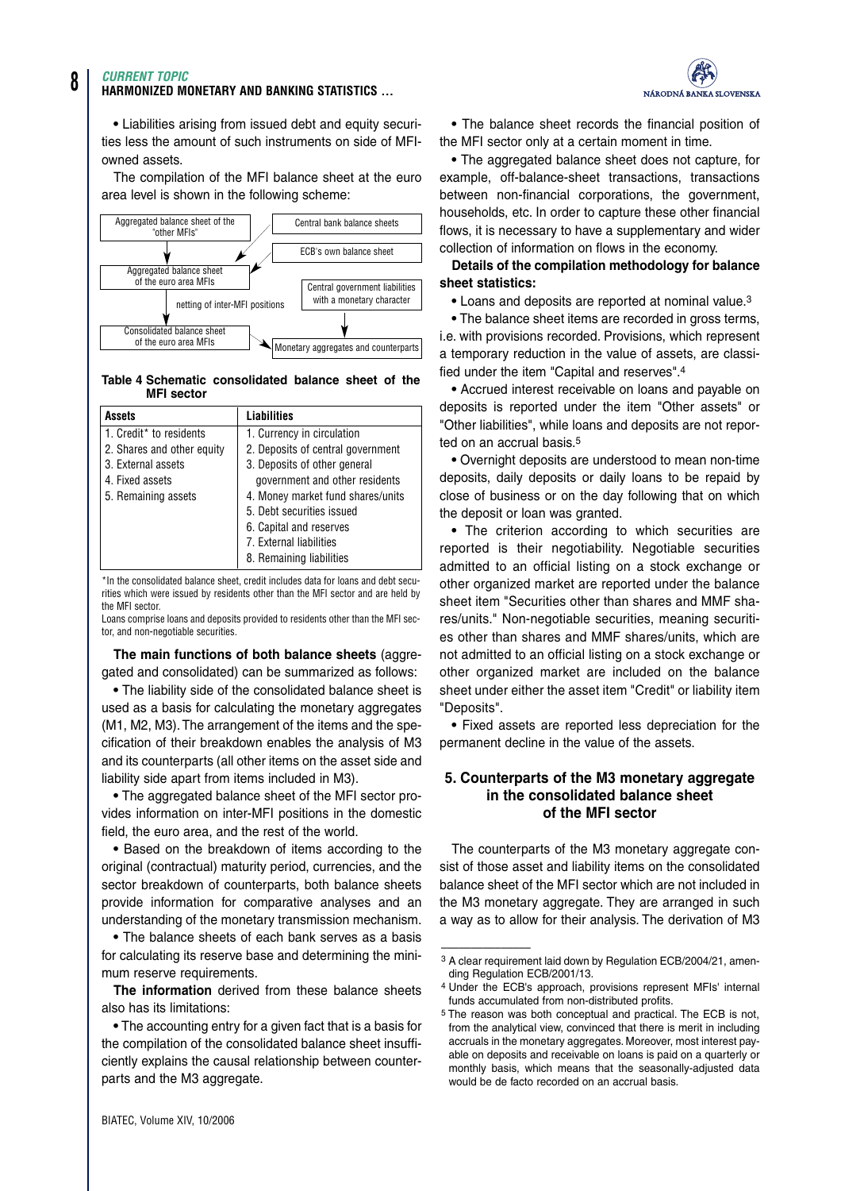#### *CURRENT TOPIC*

#### **HARMONIZED MONETARY AND BANKING STATISTICS ...**

**•** Liabilities arising from issued debt and equity securities less the amount of such instruments on side of MFIowned assets.

The compilation of the MFI balance sheet at the euro area level is shown in the following scheme:



#### **Table 4 Schematic consolidated balance sheet of the MFI sector**

| Assets                     | <b>Liabilities</b>                |
|----------------------------|-----------------------------------|
| 1. Credit* to residents    | 1. Currency in circulation        |
| 2. Shares and other equity | 2. Deposits of central government |
| 3. External assets         | 3. Deposits of other general      |
| 4. Fixed assets            | government and other residents    |
| 5. Remaining assets        | 4. Money market fund shares/units |
|                            | 5. Debt securities issued         |
|                            | 6. Capital and reserves           |
|                            | 7. External liabilities           |
|                            | 8. Remaining liabilities          |

\*In the consolidated balance sheet, credit includes data for loans and debt securities which were issued by residents other than the MFI sector and are held by the MFI sector.

Loans comprise loans and deposits provided to residents other than the MFI sector, and non-negotiable securities.

**The main functions of both balance sheets** (aggregated and consolidated) can be summarized as follows:

**•** The liability side of the consolidated balance sheet is used as a basis for calculating the monetary aggregates (M1, M2, M3). The arrangement of the items and the specification of their breakdown enables the analysis of M3 and its counterparts (all other items on the asset side and liability side apart from items included in M3).

**•** The aggregated balance sheet of the MFI sector provides information on inter-MFI positions in the domestic field, the euro area, and the rest of the world.

**•** Based on the breakdown of items according to the original (contractual) maturity period, currencies, and the sector breakdown of counterparts, both balance sheets provide information for comparative analyses and an understanding of the monetary transmission mechanism.

**•** The balance sheets of each bank serves as a basis for calculating its reserve base and determining the minimum reserve requirements.

**The information** derived from these balance sheets also has its limitations:

**•** The accounting entry for a given fact that is a basis for the compilation of the consolidated balance sheet insufficiently explains the causal relationship between counterparts and the M3 aggregate.



**•** The balance sheet records the financial position of the MFI sector only at a certain moment in time.

**•** The aggregated balance sheet does not capture, for example, off-balance-sheet transactions, transactions between non-financial corporations, the government, households, etc. In order to capture these other financial flows, it is necessary to have a supplementary and wider collection of information on flows in the economy.

**Details of the compilation methodology for balance sheet statistics:**

**•** Loans and deposits are reported at nominal value.3

**•** The balance sheet items are recorded in gross terms, i.e. with provisions recorded. Provisions, which represent a temporary reduction in the value of assets, are classified under the item "Capital and reserves".4

**•** Accrued interest receivable on loans and payable on deposits is reported under the item "Other assets" or "Other liabilities", while loans and deposits are not reported on an accrual basis.<sup>5</sup>

**•** Overnight deposits are understood to mean non-time deposits, daily deposits or daily loans to be repaid by close of business or on the day following that on which the deposit or loan was granted.

**•** The criterion according to which securities are reported is their negotiability. Negotiable securities admitted to an official listing on a stock exchange or other organized market are reported under the balance sheet item "Securities other than shares and MMF shares/units." Non-negotiable securities, meaning securities other than shares and MMF shares/units, which are not admitted to an official listing on a stock exchange or other organized market are included on the balance sheet under either the asset item "Credit" or liability item "Deposits".

**•** Fixed assets are reported less depreciation for the permanent decline in the value of the assets.

## **5. Counterparts of the M3 monetary aggregate in the consolidated balance sheet of the MFI sector**

The counterparts of the M3 monetary aggregate consist of those asset and liability items on the consolidated balance sheet of the MFI sector which are not included in the M3 monetary aggregate. They are arranged in such a way as to allow for their analysis. The derivation of M3

–––––––––––––––

<sup>3</sup> A clear requirement laid down by Regulation ECB/2004/21, amending Regulation ECB/2001/13.

<sup>4</sup> Under the ECB's approach, provisions represent MFIs' internal funds accumulated from non-distributed profits.

<sup>5</sup> The reason was both conceptual and practical. The ECB is not, from the analytical view, convinced that there is merit in including accruals in the monetary aggregates. Moreover, most interest payable on deposits and receivable on loans is paid on a quarterly or monthly basis, which means that the seasonally-adjusted data would be de facto recorded on an accrual basis.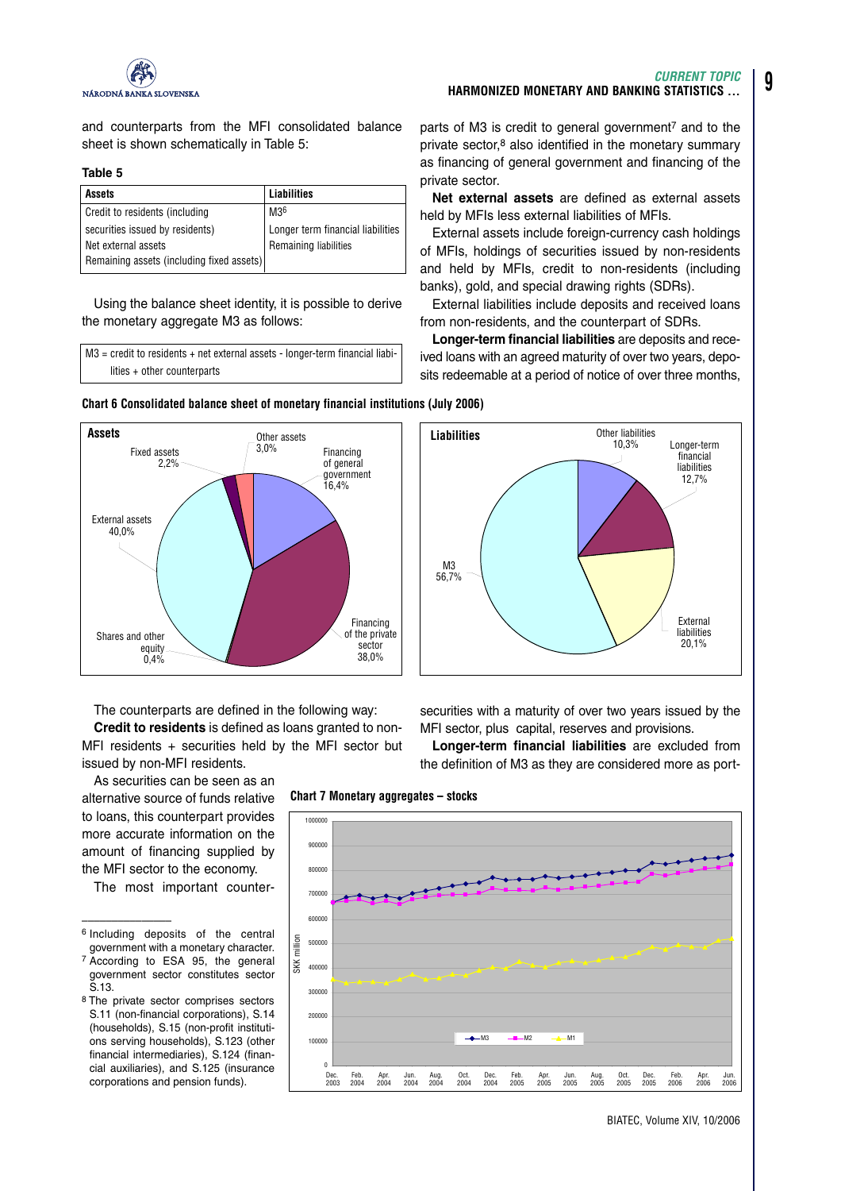

and counterparts from the MFI consolidated balance sheet is shown schematically in Table 5:

#### **Table 5**

| <b>Assets</b>                             | Liabilities                       |
|-------------------------------------------|-----------------------------------|
| Credit to residents (including            | M36                               |
| securities issued by residents)           | Longer term financial liabilities |
| l Net external assets                     | Remaining liabilities             |
| Remaining assets (including fixed assets) |                                   |

Using the balance sheet identity, it is possible to derive the monetary aggregate M3 as follows:

M3 = credit to residents + net external assets - longer-term financial liabilities + other counterparts

parts of M3 is credit to general government<sup>7</sup> and to the private sector,<sup>8</sup> also identified in the monetary summary as financing of general government and financing of the private sector.

**Net external assets** are defined as external assets held by MFIs less external liabilities of MFIs.

External assets include foreign-currency cash holdings of MFIs, holdings of securities issued by non-residents and held by MFIs, credit to non-residents (including banks), gold, and special drawing rights (SDRs).

External liabilities include deposits and received loans from non-residents, and the counterpart of SDRs.

**Longer-term financial liabilities** are deposits and received loans with an agreed maturity of over two years, deposits redeemable at a period of notice of over three months,





The counterparts are defined in the following way:

**Credit to residents** is defined as loans granted to non-MFI residents + securities held by the MFI sector but issued by non-MFI residents.

As securities can be seen as an alternative source of funds relative to loans, this counterpart provides more accurate information on the amount of financing supplied by the MFI sector to the economy.

The most important counter-

**Chart 7 Monetary aggregates – stocks**





securities with a maturity of over two years issued by the MFI sector, plus capital, reserves and provisions.

**Longer-term financial liabilities** are excluded from the definition of M3 as they are considered more as port-

BIATEC, Volume XIV, 10/2006

<sup>–––––––––––––––</sup> <sup>6</sup> Including deposits of the central government with a monetary character.

<sup>7</sup> According to ESA 95, the general government sector constitutes sector S.13.

<sup>8</sup> The private sector comprises sectors S.11 (non-financial corporations), S.14 (households), S.15 (non-profit institutions serving households), S.123 (other financial intermediaries), S.124 (financial auxiliaries), and S.125 (insurance corporations and pension funds).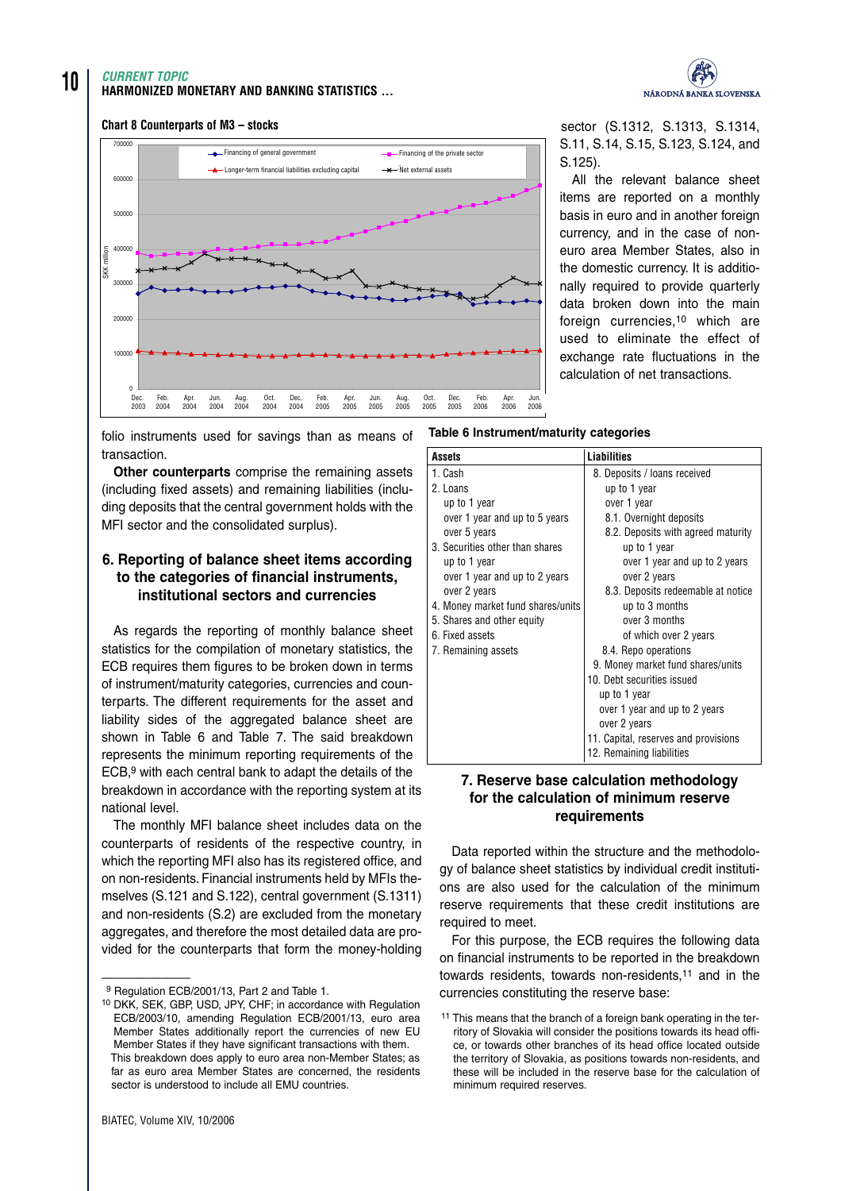# **10** *CURRENT TOPIC* **HARMONIZED MONETARY AND BANKING STATISTICS ...**



#### **Chart 8 Counterparts of M3 – stocks**



sector (S.1312, S.1313, S.1314, S.11, S.14, S.15, S.123, S.124, and S.125).

All the relevant balance sheet items are reported on a monthly basis in euro and in another foreign currency, and in the case of noneuro area Member States, also in the domestic currency. It is additionally required to provide quarterly data broken down into the main foreign currencies.<sup>10</sup> which are used to eliminate the effect of exchange rate fluctuations in the calculation of net transactions.

folio instruments used for savings than as means of transaction.

**Other counterparts** comprise the remaining assets (including fixed assets) and remaining liabilities (including deposits that the central government holds with the MFI sector and the consolidated surplus).

# **6. Reporting of balance sheet items according to the categories of financial instruments, institutional sectors and currencies**

As regards the reporting of monthly balance sheet statistics for the compilation of monetary statistics, the ECB requires them figures to be broken down in terms of instrument/maturity categories, currencies and counterparts. The different requirements for the asset and liability sides of the aggregated balance sheet are shown in Table 6 and Table 7. The said breakdown represents the minimum reporting requirements of the ECB,9 with each central bank to adapt the details of the breakdown in accordance with the reporting system at its national level.

The monthly MFI balance sheet includes data on the counterparts of residents of the respective country, in which the reporting MFI also has its registered office, and on non-residents. Financial instruments held by MFIs themselves (S.121 and S.122), central government (S.1311) and non-residents (S.2) are excluded from the monetary aggregates, and therefore the most detailed data are provided for the counterparts that form the money-holding

–––––––––––––––

#### **Table 6 Instrument/maturity categories**

| <b>Assets</b>                     | Liabilities                          |
|-----------------------------------|--------------------------------------|
| 1. Cash                           | 8. Deposits / Ioans received         |
| 2. Loans                          | up to 1 year                         |
| up to 1 year                      | over 1 year                          |
| over 1 year and up to 5 years     | 8.1. Overnight deposits              |
| over 5 years                      | 8.2. Deposits with agreed maturity   |
| 3. Securities other than shares   | up to 1 year                         |
| up to 1 year                      | over 1 year and up to 2 years        |
| over 1 year and up to 2 years     | over 2 years                         |
| over 2 years                      | 8.3. Deposits redeemable at notice   |
| 4. Money market fund shares/units | up to 3 months                       |
| 5. Shares and other equity        | over 3 months                        |
| 6. Fixed assets                   | of which over 2 years                |
| 7. Remaining assets               | 8.4. Repo operations                 |
|                                   | 9. Money market fund shares/units    |
|                                   | 10. Debt securities issued           |
|                                   | up to 1 year                         |
|                                   | over 1 year and up to 2 years        |
|                                   | over 2 years                         |
|                                   | 11. Capital, reserves and provisions |
|                                   | 12. Remaining liabilities            |

# **7. Reserve base calculation methodology for the calculation of minimum reserve requirements**

Data reported within the structure and the methodology of balance sheet statistics by individual credit institutions are also used for the calculation of the minimum reserve requirements that these credit institutions are required to meet.

For this purpose, the ECB requires the following data on financial instruments to be reported in the breakdown towards residents, towards non-residents,11 and in the currencies constituting the reserve base:

<sup>9</sup> Regulation ECB/2001/13, Part 2 and Table 1.

<sup>10</sup> DKK, SEK, GBP, USD, JPY, CHF; in accordance with Regulation ECB/2003/10, amending Regulation ECB/2001/13, euro area Member States additionally report the currencies of new EU Member States if they have significant transactions with them. This breakdown does apply to euro area non-Member States; as far as euro area Member States are concerned, the residents sector is understood to include all EMU countries.

<sup>&</sup>lt;sup>11</sup> This means that the branch of a foreign bank operating in the territory of Slovakia will consider the positions towards its head office, or towards other branches of its head office located outside the territory of Slovakia, as positions towards non-residents, and these will be included in the reserve base for the calculation of minimum required reserves.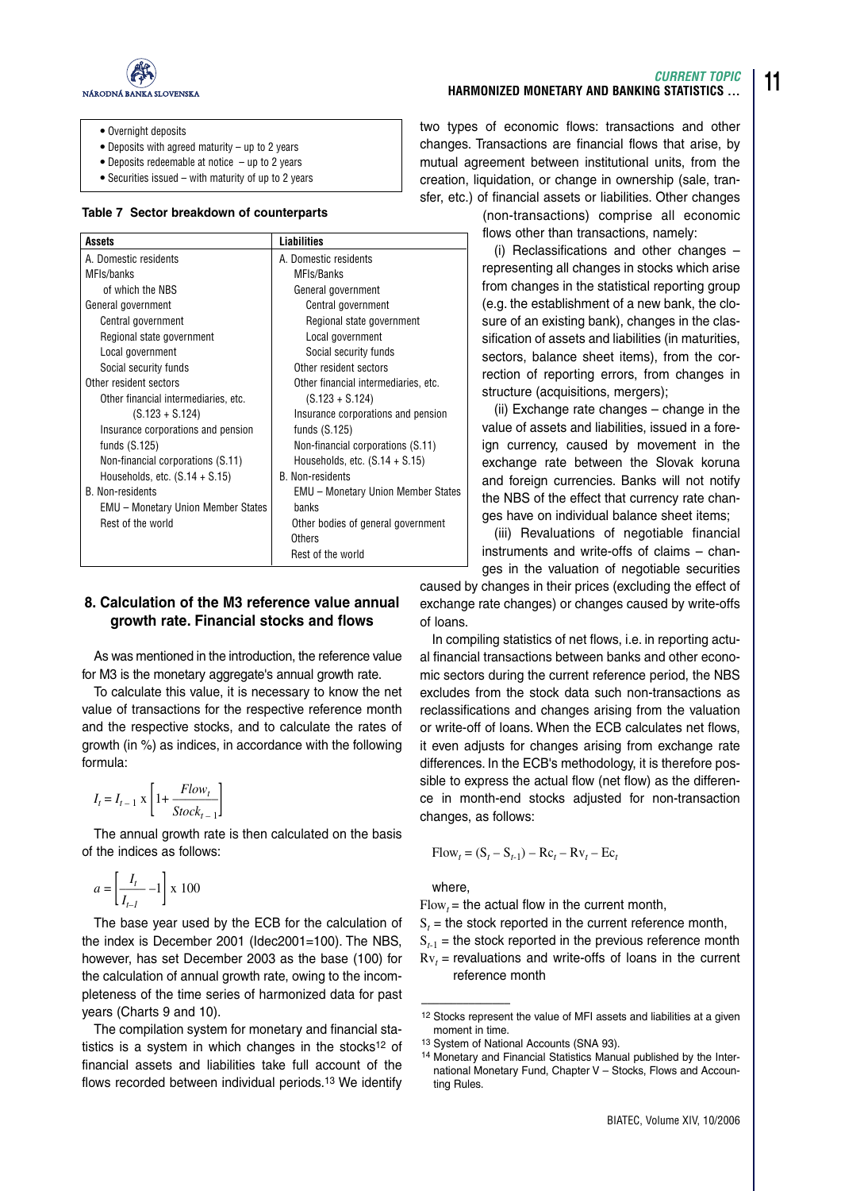

- **•** Overnight deposits
- **•** Deposits with agreed maturity up to 2 years
- **•** Deposits redeemable at notice up to 2 years
- **•** Securities issued with maturity of up to 2 years

#### **Table 7 Sector breakdown of counterparts**

| Assets                                    | <b>Liabilities</b>                        |
|-------------------------------------------|-------------------------------------------|
| A. Domestic residents                     | A. Domestic residents                     |
| MFIs/banks                                | MFIs/Banks                                |
| of which the NBS                          | General government                        |
| General government                        | Central government                        |
| Central government                        | Regional state government                 |
| Regional state government                 | Local government                          |
| Local government                          | Social security funds                     |
| Social security funds                     | Other resident sectors                    |
| Other resident sectors                    | Other financial intermediaries, etc.      |
| Other financial intermediaries, etc.      | $(S.123 + S.124)$                         |
| $(S.123 + S.124)$                         | Insurance corporations and pension        |
| Insurance corporations and pension        | funds $(S.125)$                           |
| funds $(S.125)$                           | Non-financial corporations (S.11)         |
| Non-financial corporations (S.11)         | Households, etc. $(S.14 + S.15)$          |
| Households, etc. $(S.14 + S.15)$          | <b>B.</b> Non-residents                   |
| <b>B.</b> Non-residents                   | <b>EMU</b> – Monetary Union Member States |
| <b>EMU</b> – Monetary Union Member States | hanks                                     |
| Rest of the world                         | Other bodies of general government        |
|                                           | Others                                    |
|                                           | Rest of the world                         |

## **8. Calculation of the M3 reference value annual growth rate. Financial stocks and flows**

As was mentioned in the introduction, the reference value for M3 is the monetary aggregate's annual growth rate.

To calculate this value, it is necessary to know the net value of transactions for the respective reference month and the respective stocks, and to calculate the rates of growth (in %) as indices, in accordance with the following formula:

$$
I_t = I_{t-1} \times \left[1 + \frac{Flow_t}{Stock_{t-1}}\right]
$$

The annual growth rate is then calculated on the basis of the indices as follows:

$$
a = \left[\frac{I_t}{I_{t-1}} - 1\right] \ge 100
$$

The base year used by the ECB for the calculation of the index is December 2001 (Idec2001=100). The NBS, however, has set December 2003 as the base (100) for the calculation of annual growth rate, owing to the incompleteness of the time series of harmonized data for past years (Charts 9 and 10).

The compilation system for monetary and financial statistics is a system in which changes in the stocks<sup>12</sup> of financial assets and liabilities take full account of the flows recorded between individual periods.13 We identify

### **HARMONIZED MONETARY AND BANKING STATISTICS ...**

two types of economic flows: transactions and other changes. Transactions are financial flows that arise, by mutual agreement between institutional units, from the creation, liquidation, or change in ownership (sale, transfer, etc.) of financial assets or liabilities. Other changes

> (non-transactions) comprise all economic flows other than transactions, namely:

(i) Reclassifications and other changes – representing all changes in stocks which arise from changes in the statistical reporting group (e.g. the establishment of a new bank, the closure of an existing bank), changes in the classification of assets and liabilities (in maturities, sectors, balance sheet items), from the correction of reporting errors, from changes in structure (acquisitions, mergers);

(ii) Exchange rate changes – change in the value of assets and liabilities, issued in a foreign currency, caused by movement in the exchange rate between the Slovak koruna and foreign currencies. Banks will not notify the NBS of the effect that currency rate changes have on individual balance sheet items;

(iii) Revaluations of negotiable financial instruments and write-offs of claims – changes in the valuation of negotiable securities

caused by changes in their prices (excluding the effect of exchange rate changes) or changes caused by write-offs of loans.

In compiling statistics of net flows, i.e. in reporting actual financial transactions between banks and other economic sectors during the current reference period, the NBS excludes from the stock data such non-transactions as reclassifications and changes arising from the valuation or write-off of loans. When the ECB calculates net flows, it even adjusts for changes arising from exchange rate differences. In the ECB's methodology, it is therefore possible to express the actual flow (net flow) as the difference in month-end stocks adjusted for non-transaction changes, as follows:

$$
Flow_t = (S_t - S_{t-1}) - RC_t - RV_t - Ec_t
$$

where,

–––––––––––––––

 $Flow_t =$  the actual flow in the current month,

- $S_t$  = the stock reported in the current reference month,
- $S_{t-1}$  = the stock reported in the previous reference month
- $Rv_t$  = revaluations and write-offs of loans in the current reference month

*CURRENT TOPIC*

<sup>12</sup> Stocks represent the value of MFI assets and liabilities at a given moment in time.

<sup>13</sup> System of National Accounts (SNA 93).

<sup>14</sup> Monetary and Financial Statistics Manual published by the International Monetary Fund, Chapter V – Stocks, Flows and Accounting Rules.